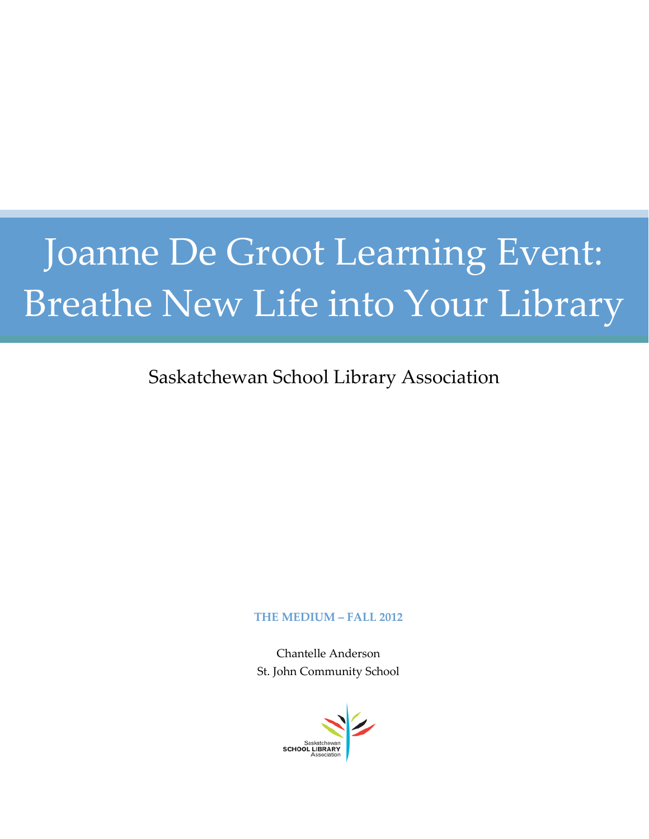# Joanne De Groot Learning Event: Breathe New Life into Your Library

### Saskatchewan School Library Association

#### **THE MEDIUM – FALL 2012**

Chantelle Anderson St. John Community School

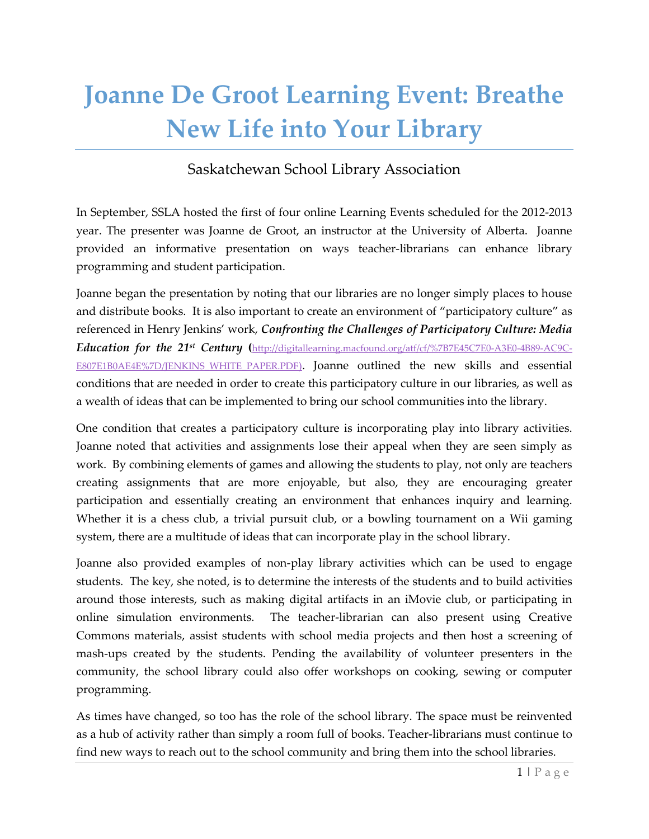## **Joanne De Groot Learning Event: Breathe New Life into Your Library**

#### Saskatchewan School Library Association

In September, SSLA hosted the first of four online Learning Events scheduled for the 2012-2013 year. The presenter was Joanne de Groot, an instructor at the University of Alberta. Joanne provided an informative presentation on ways teacher-librarians can enhance library programming and student participation.

Joanne began the presentation by noting that our libraries are no longer simply places to house and distribute books. It is also important to create an environment of "participatory culture" as referenced in Henry Jenkins' work, *Confronting the Challenges of Participatory Culture: Media Education for the 21st Century* **(**[http://digitallearning.macfound.org/atf/cf/%7B7E45C7E0-A3E0-4B89-AC9C-](http://digitallearning.macfound.org/atf/cf/%7B7E45C7E0-A3E0-4B89-AC9C-E807E1B0AE4E%7D/JENKINS_WHITE_PAPER.PDF)E807E1B0AE4E%7D/JENKINS WHITE PAPER.PDF). Joanne outlined the new skills and essential conditions that are needed in order to create this participatory culture in our libraries, as well as a wealth of ideas that can be implemented to bring our school communities into the library.

One condition that creates a participatory culture is incorporating play into library activities. Joanne noted that activities and assignments lose their appeal when they are seen simply as work. By combining elements of games and allowing the students to play, not only are teachers creating assignments that are more enjoyable, but also, they are encouraging greater participation and essentially creating an environment that enhances inquiry and learning. Whether it is a chess club, a trivial pursuit club, or a bowling tournament on a Wii gaming system, there are a multitude of ideas that can incorporate play in the school library.

Joanne also provided examples of non-play library activities which can be used to engage students. The key, she noted, is to determine the interests of the students and to build activities around those interests, such as making digital artifacts in an iMovie club, or participating in online simulation environments. The teacher-librarian can also present using Creative Commons materials, assist students with school media projects and then host a screening of mash-ups created by the students. Pending the availability of volunteer presenters in the community, the school library could also offer workshops on cooking, sewing or computer programming.

As times have changed, so too has the role of the school library. The space must be reinvented as a hub of activity rather than simply a room full of books. Teacher-librarians must continue to find new ways to reach out to the school community and bring them into the school libraries.